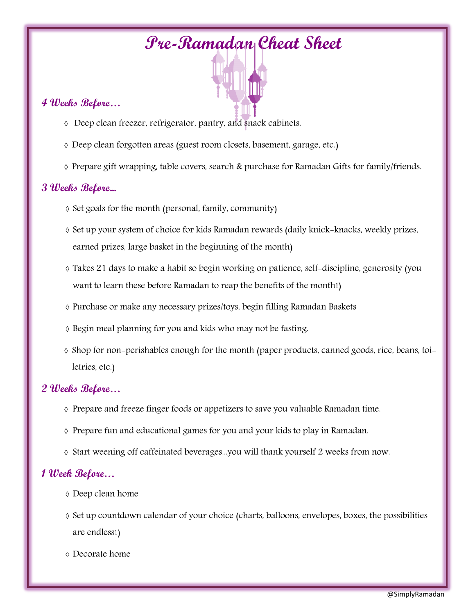# Pre-Ramadan Cheat Sheet

### 4 Weeks Before…

- à Deep clean freezer, refrigerator, pantry, and snack cabinets.
- à Deep clean forgotten areas (guest room closets, basement, garage, etc.)
- à Prepare gift wrapping, table covers, search & purchase for Ramadan Gifts for family/friends.

#### 3 Weeks Before...

- $\Diamond$  Set goals for the month (personal, family, community)
- à Set up your system of choice for kids Ramadan rewards (daily knick-knacks, weekly prizes, earned prizes, large basket in the beginning of the month)
- à Takes 21 days to make a habit so begin working on patience, self-discipline, generosity (you want to learn these before Ramadan to reap the benefits of the month!)
- à Purchase or make any necessary prizes/toys, begin filling Ramadan Baskets
- à Begin meal planning for you and kids who may not be fasting.
- à Shop for non-perishables enough for the month (paper products, canned goods, rice, beans, toiletries, etc.)

#### 2 Weeks Before…

- à Prepare and freeze finger foods or appetizers to save you valuable Ramadan time.
- $\Diamond$  Prepare fun and educational games for you and your kids to play in Ramadan.
- à Start weening off caffeinated beverages...you will thank yourself 2 weeks from now.

#### 1 Week Before…

- à Deep clean home
- à Set up countdown calendar of your choice (charts, balloons, envelopes, boxes, the possibilities are endless!)
- à Decorate home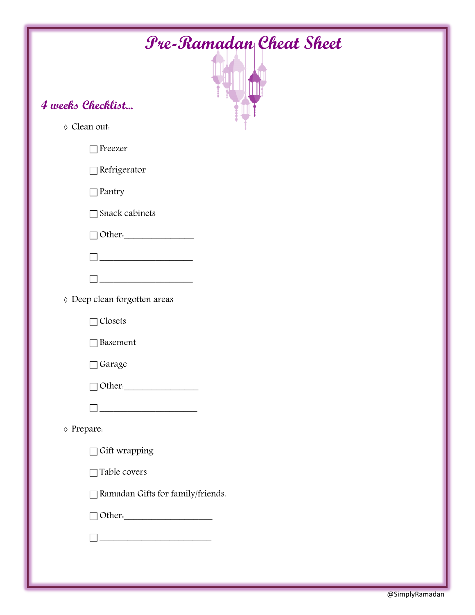| <b><i>Pre-Ramadan Cheat Sheet</i></b>              |  |  |  |  |  |  |  |
|----------------------------------------------------|--|--|--|--|--|--|--|
|                                                    |  |  |  |  |  |  |  |
| 4 weeks Checklist                                  |  |  |  |  |  |  |  |
| ◊ Clean out.                                       |  |  |  |  |  |  |  |
| Freezer                                            |  |  |  |  |  |  |  |
| Refrigerator                                       |  |  |  |  |  |  |  |
| Pantry                                             |  |  |  |  |  |  |  |
| Snack cabinets                                     |  |  |  |  |  |  |  |
| Other.                                             |  |  |  |  |  |  |  |
| <u> 1990 - Jan Barnett, politik e</u>              |  |  |  |  |  |  |  |
|                                                    |  |  |  |  |  |  |  |
| ◊ Deep clean forgotten areas                       |  |  |  |  |  |  |  |
| Closets                                            |  |  |  |  |  |  |  |
| Basement                                           |  |  |  |  |  |  |  |
| Garage                                             |  |  |  |  |  |  |  |
| Other.                                             |  |  |  |  |  |  |  |
|                                                    |  |  |  |  |  |  |  |
| ◊ Prepare.                                         |  |  |  |  |  |  |  |
| Gift wrapping                                      |  |  |  |  |  |  |  |
| Table covers                                       |  |  |  |  |  |  |  |
| Ramadan Gifts for family/friends.                  |  |  |  |  |  |  |  |
| $\Box$ Other.                                      |  |  |  |  |  |  |  |
| <u> 1989 - Johann Barbara, martxa amerikan per</u> |  |  |  |  |  |  |  |
|                                                    |  |  |  |  |  |  |  |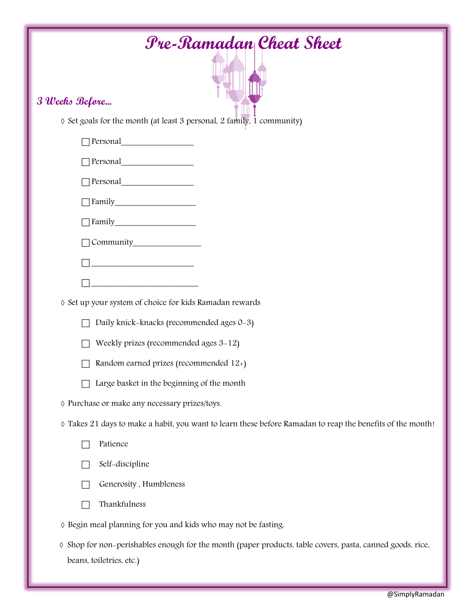| <b>Pre-Ramadan Cheat Sheet</b>                                                                                                        |
|---------------------------------------------------------------------------------------------------------------------------------------|
| 3 Weeks Before                                                                                                                        |
| ◊ Set goals for the month (at least 3 personal, 2 family, 1 community)                                                                |
|                                                                                                                                       |
|                                                                                                                                       |
|                                                                                                                                       |
|                                                                                                                                       |
|                                                                                                                                       |
|                                                                                                                                       |
|                                                                                                                                       |
| <u> 1989 - Johann Barbara, martin a</u>                                                                                               |
| ◊ Set up your system of choice for kids Ramadan rewards                                                                               |
| Daily knick-knacks (recommended ages 0-3)                                                                                             |
| Weekly prizes (recommended ages 3-12)                                                                                                 |
| Random earned prizes (recommended 12+)                                                                                                |
| Large basket in the beginning of the month                                                                                            |
| ◊ Purchase or make any necessary prizes/toys.                                                                                         |
| ◊ Takes 21 days to make a habit, you want to learn these before Ramadan to reap the benefits of the month!                            |
| Patience                                                                                                                              |
| Self-discipline                                                                                                                       |
| Generosity, Humbleness                                                                                                                |
| Thankfulness                                                                                                                          |
| ◊ Begin meal planning for you and kids who may not be fasting.                                                                        |
| ◊ Shop for non-perishables enough for the month (paper products, table covers, pasta, canned goods, rice,<br>beans, toiletries, etc.) |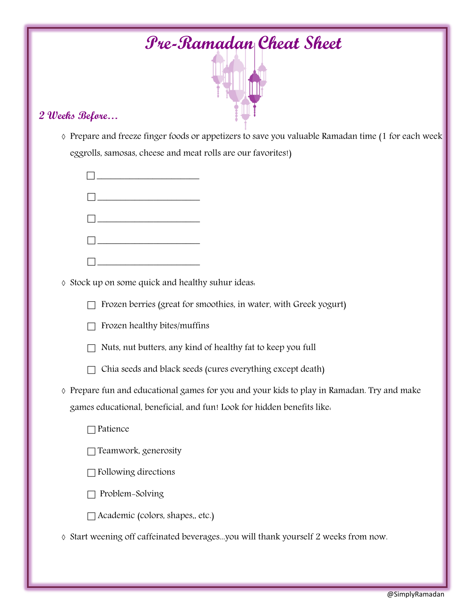| <b><i>Pre-Ramadan</i></b> Cheat Sheet                                                                                                                              |  |  |  |  |  |  |  |  |
|--------------------------------------------------------------------------------------------------------------------------------------------------------------------|--|--|--|--|--|--|--|--|
|                                                                                                                                                                    |  |  |  |  |  |  |  |  |
| 2 Weeks Before                                                                                                                                                     |  |  |  |  |  |  |  |  |
| ◊ Prepare and freeze finger foods or appetizers to save you valuable Ramadan time (1 for each week<br>eggrolls, samosas, cheese and meat rolls are our favorites!) |  |  |  |  |  |  |  |  |
| <u> 1989 - Johann Barnett, fransk politik (</u>                                                                                                                    |  |  |  |  |  |  |  |  |
|                                                                                                                                                                    |  |  |  |  |  |  |  |  |
|                                                                                                                                                                    |  |  |  |  |  |  |  |  |
|                                                                                                                                                                    |  |  |  |  |  |  |  |  |
|                                                                                                                                                                    |  |  |  |  |  |  |  |  |
| ◊ Stock up on some quick and healthy suhur ideas.                                                                                                                  |  |  |  |  |  |  |  |  |
| Frozen berries (great for smoothies, in water, with Greek yogurt)                                                                                                  |  |  |  |  |  |  |  |  |
| Frozen healthy bites/muffins                                                                                                                                       |  |  |  |  |  |  |  |  |
| Nuts, nut butters, any kind of healthy fat to keep you full                                                                                                        |  |  |  |  |  |  |  |  |
| Chia seeds and black seeds (cures everything except death)                                                                                                         |  |  |  |  |  |  |  |  |
| ◊ Prepare fun and educational games for you and your kids to play in Ramadan. Try and make                                                                         |  |  |  |  |  |  |  |  |
| games educational, beneficial, and fun! Look for hidden benefits like.                                                                                             |  |  |  |  |  |  |  |  |
| Patience                                                                                                                                                           |  |  |  |  |  |  |  |  |
| Teamwork, generosity                                                                                                                                               |  |  |  |  |  |  |  |  |
| Following directions                                                                                                                                               |  |  |  |  |  |  |  |  |
| Problem-Solving                                                                                                                                                    |  |  |  |  |  |  |  |  |
| Academic (colors, shapes,, etc.)                                                                                                                                   |  |  |  |  |  |  |  |  |
| ◊ Start weening off caffeinated beveragesyou will thank yourself 2 weeks from now.                                                                                 |  |  |  |  |  |  |  |  |